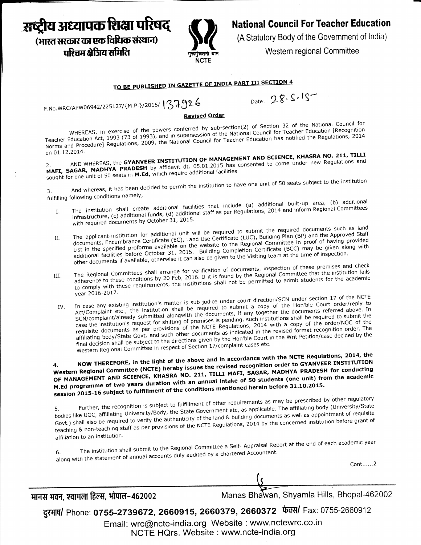# अ़ब्द्रीय अध्यापक शिक्षा परिषद (भारत सरकार का एक विधिक संस्थान)

पश्चिम क्षेत्रिय समिति



### **National Council For Teacher Education**

(A Statutory Body of the Government of India)

Western regional Committee

## TO BE PUBLISHED IN GAZETTE OF INDIA PART III SECTION 4

F.No.WRC/APW06942/225127/{M.P.}/2015/137926

Date: 28.5.15

#### Revised Order

WHEREAS, in exercise of the powers conferred by sub-section(2) of Section 32 of the National Council for Teacher Education Act, 1993 (73 of 1993), and in supersession of the National Council for Teacher Education [Recognition] Norms and Procedure] Regulations, 2009, the National Council for Teacher Education has notified the Regulations, 2014 on 01.12.2014.

AND WHEREAS, the GYANVEER INSTITUTION OF MANAGEMENT AND SCIENCE, KHASRA NO. 211, TILLI MAFI, SAGAR, MADHYA PRADESH by affidavit dt. 05.01.2015 has consented to come under new Regulations and sought for one unit of 50 seats in M.Ed, which require additional facilities

And whereas, it has been decided to permit the institution to have one unit of 50 seats subject to the institution 3. fulfilling following conditions namely,

- The institution shall create additional facilities that include (a) additional built-up area, (b) additional infrastructure, (c) additional funds, (d) additional staff as per Regulations, 2014 and inform Regional Committees  $\mathbf{I}$ . with required documents by October 31, 2015.
- The applicant-institution for additional unit will be required to submit the required documents such as land documents, Encumbrance Certificate (EC), Land Use Certificate (LUC), Building Plan (BP) and the Approved Staff II. List in the specified proforma available on the website to the Regional Committee in proof of having provided and the specifical protection aromans on the measure of the neglection committee in provided in the specificate (BCC) may be given along with other documents if available, otherwise it can also be given to the Visiting team at the time of inspection.
- The Regional Committees shall arrange for verification of documents, inspection of these premises and check adherence to these conditions by 20 Feb, 2016. If it is found by the Regional Committee that the institution fails III. to comply with these requirements, the institutions shall not be permitted to admit students for the academic year 2016-2017.
- In case any existing institution's matter is sub-judice under court direction/SCN under section 17 of the NCTE Act/Complaint etc., the institution shall be required to submit a copy of the Hon'ble Court order/reply to IV. SCN/complaint/already submitted alongwith the documents, if any together the documents referred above. In case the institution's request for shifting of premises is pending, such institutions shall be required to submit the requisite documents as per provisions of the NCTE Regulations, 2014 with a copy of the order/NOC of the affiliating body/State Govt. and such other documents as indicated in the revised format recognition order. The final decision shall be subject to the directions given by the Hon'ble Court in the Writ Petition/case decided by the Western Regional Committee in respect of Section 17/complaint cases etc.

NOW THEREFORE, in the light of the above and in accordance with the NCTE Regulations, 2014, the Western Regional Committee (NCTE) hereby issues the revised recognition order to GYANVEER INSTITUTION OF MANAGEMENT AND SCIENCE, KHASRA NO. 211, TILLI MAFI, SAGAR, MADHYA PRADESH for conducting M.Ed programme of two years duration with an annual intake of 50 students (one unit) from the academic session 2015-16 subject to fulfillment of the conditions mentioned herein before 31.10.2015.

Further, the recognition is subject to fulfillment of other requirements as may be prescribed by other regulatory bodies like UGC, affiliating University/Body, the State Government etc, as applicable. The affiliating body (University/State Govt.) shall also be required to verify the authenticity of the land & building documents as well as appointment of requisite teaching & non-teaching staff as per provisions of the NCTE Regulations, 2014 by the concerned institution before grant of affiliation to an institution.

The institution shall submit to the Regional Committee a Self- Appraisal Report at the end of each academic year along with the statement of annual accounts duly audited by a chartered Accountant. 6.

 $Cont. \ldots .2$ 

मानस भवन, श्यामला हिल्स, भोपाल-462002

Manas Bhawan, Shyamla Hills, Bhopal-462002

दुरभाष/ Phone: 0755-2739672, 2660915, 2660379, 2660372 फेक्स/ Fax: 0755-2660912

Email: wrc@ncte-india.org Website : www.nctewrc.co.in NCTE HQrs. Website: www.ncte-india.org